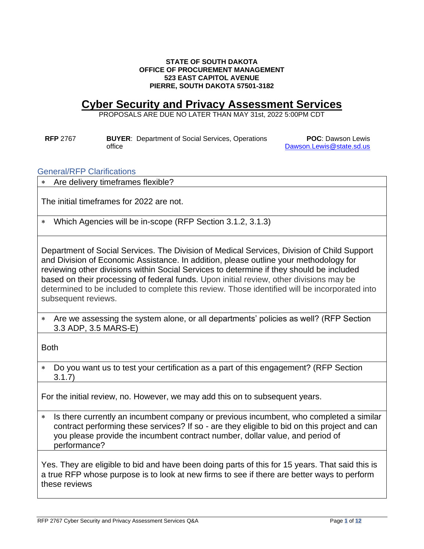#### **STATE OF SOUTH DAKOTA OFFICE OF PROCUREMENT MANAGEMENT 523 EAST CAPITOL AVENUE PIERRE, SOUTH DAKOTA 57501-3182**

## **Cyber Security and Privacy Assessment Services**

PROPOSALS ARE DUE NO LATER THAN MAY 31st, 2022 5:00PM CDT

**RFP** 2767 **BUYER**: Department of Social Services, Operations office

**POC**: Dawson Lewis [Dawson.Lewis@state.sd.us](mailto:Dawson.Lewis@state.sd.us)

General/RFP Clarifications

Are delivery timeframes flexible?

The initial timeframes for 2022 are not.

Which Agencies will be in-scope (RFP Section 3.1.2, 3.1.3)

Department of Social Services. The Division of Medical Services, Division of Child Support and Division of Economic Assistance. In addition, please outline your methodology for reviewing other divisions within Social Services to determine if they should be included based on their processing of federal funds. Upon initial review, other divisions may be determined to be included to complete this review. Those identified will be incorporated into subsequent reviews.

 Are we assessing the system alone, or all departments' policies as well? (RFP Section 3.3 ADP, 3.5 MARS-E)

Both

 Do you want us to test your certification as a part of this engagement? (RFP Section 3.1.7)

For the initial review, no. However, we may add this on to subsequent years.

\* Is there currently an incumbent company or previous incumbent, who completed a similar contract performing these services? If so - are they eligible to bid on this project and can you please provide the incumbent contract number, dollar value, and period of performance?

Yes. They are eligible to bid and have been doing parts of this for 15 years. That said this is a true RFP whose purpose is to look at new firms to see if there are better ways to perform these reviews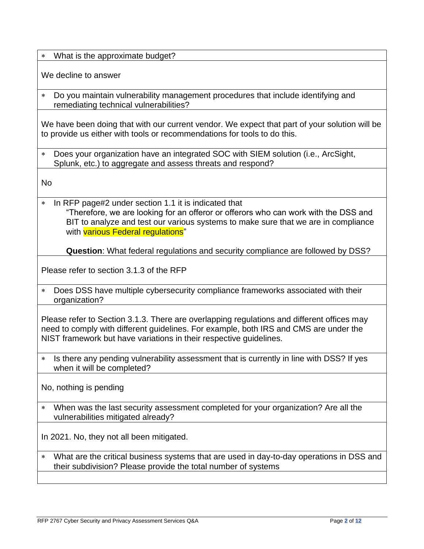What is the approximate budget?

We decline to answer

 Do you maintain vulnerability management procedures that include identifying and remediating technical vulnerabilities?

We have been doing that with our current vendor. We expect that part of your solution will be to provide us either with tools or recommendations for tools to do this.

 Does your organization have an integrated SOC with SIEM solution (i.e., ArcSight, Splunk, etc.) to aggregate and assess threats and respond?

No

\* In RFP page#2 under section 1.1 it is indicated that "Therefore, we are looking for an offeror or offerors who can work with the DSS and BIT to analyze and test our various systems to make sure that we are in compliance with **various Federal regulations**"

**Question**: What federal regulations and security compliance are followed by DSS?

Please refer to section 3.1.3 of the RFP

 Does DSS have multiple cybersecurity compliance frameworks associated with their organization?

Please refer to Section 3.1.3. There are overlapping regulations and different offices may need to comply with different guidelines. For example, both IRS and CMS are under the NIST framework but have variations in their respective guidelines.

\* Is there any pending vulnerability assessment that is currently in line with DSS? If yes when it will be completed?

No, nothing is pending

 When was the last security assessment completed for your organization? Are all the vulnerabilities mitigated already?

In 2021. No, they not all been mitigated.

 What are the critical business systems that are used in day-to-day operations in DSS and their subdivision? Please provide the total number of systems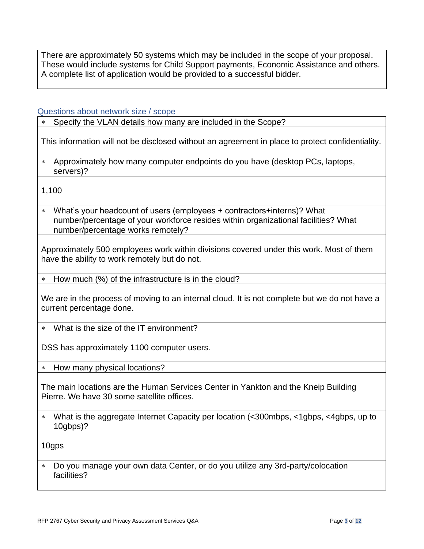There are approximately 50 systems which may be included in the scope of your proposal. These would include systems for Child Support payments, Economic Assistance and others. A complete list of application would be provided to a successful bidder.

## Questions about network size / scope

Specify the VLAN details how many are included in the Scope?

This information will not be disclosed without an agreement in place to protect confidentiality.

 Approximately how many computer endpoints do you have (desktop PCs, laptops, servers)?

1,100

 What's your headcount of users (employees + contractors+interns)? What number/percentage of your workforce resides within organizational facilities? What number/percentage works remotely?

Approximately 500 employees work within divisions covered under this work. Most of them have the ability to work remotely but do not.

\* How much (%) of the infrastructure is in the cloud?

We are in the process of moving to an internal cloud. It is not complete but we do not have a current percentage done.

What is the size of the IT environment?

DSS has approximately 1100 computer users.

How many physical locations?

The main locations are the Human Services Center in Yankton and the Kneip Building Pierre. We have 30 some satellite offices.

 What is the aggregate Internet Capacity per location (<300mbps, <1gbps, <4gbps, up to 10gbps)?

10gps

 Do you manage your own data Center, or do you utilize any 3rd-party/colocation facilities?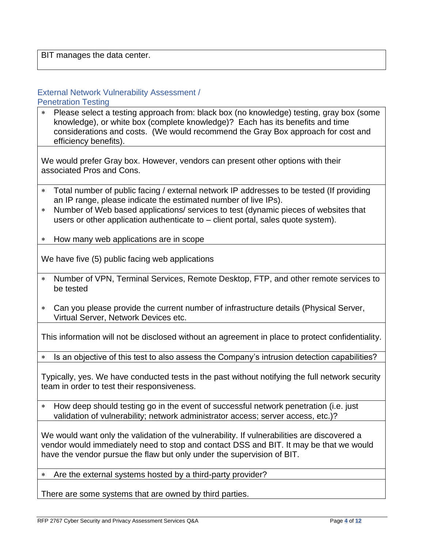BIT manages the data center.

# External Network Vulnerability Assessment /

Penetration Testing

 Please select a testing approach from: black box (no knowledge) testing, gray box (some knowledge), or white box (complete knowledge)? Each has its benefits and time considerations and costs. (We would recommend the Gray Box approach for cost and efficiency benefits).

We would prefer Gray box. However, vendors can present other options with their associated Pros and Cons.

- Total number of public facing / external network IP addresses to be tested (If providing an IP range, please indicate the estimated number of live IPs).
- Number of Web based applications/ services to test (dynamic pieces of websites that users or other application authenticate to – client portal, sales quote system).
- How many web applications are in scope

We have five (5) public facing web applications

- Number of VPN, Terminal Services, Remote Desktop, FTP, and other remote services to be tested
- Can you please provide the current number of infrastructure details (Physical Server, Virtual Server, Network Devices etc.

This information will not be disclosed without an agreement in place to protect confidentiality.

\* Is an objective of this test to also assess the Company's intrusion detection capabilities?

Typically, yes. We have conducted tests in the past without notifying the full network security team in order to test their responsiveness.

\* How deep should testing go in the event of successful network penetration (i.e. just validation of vulnerability; network administrator access; server access, etc.)?

We would want only the validation of the vulnerability. If vulnerabilities are discovered a vendor would immediately need to stop and contact DSS and BIT. It may be that we would have the vendor pursue the flaw but only under the supervision of BIT.

Are the external systems hosted by a third-party provider?

There are some systems that are owned by third parties.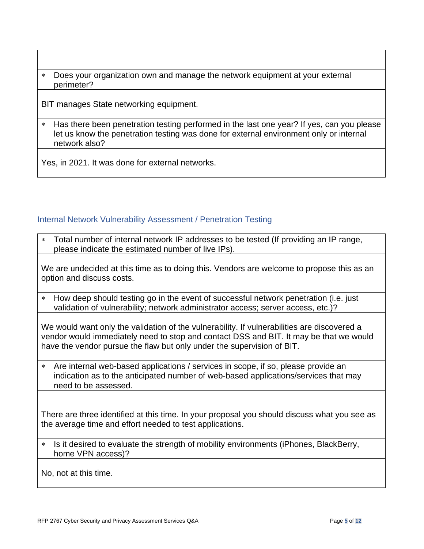Does your organization own and manage the network equipment at your external perimeter?

BIT manages State networking equipment.

 Has there been penetration testing performed in the last one year? If yes, can you please let us know the penetration testing was done for external environment only or internal network also?

Yes, in 2021. It was done for external networks.

## Internal Network Vulnerability Assessment / Penetration Testing

 Total number of internal network IP addresses to be tested (If providing an IP range, please indicate the estimated number of live IPs).

We are undecided at this time as to doing this. Vendors are welcome to propose this as an option and discuss costs.

 How deep should testing go in the event of successful network penetration (i.e. just validation of vulnerability; network administrator access; server access, etc.)?

We would want only the validation of the vulnerability. If vulnerabilities are discovered a vendor would immediately need to stop and contact DSS and BIT. It may be that we would have the vendor pursue the flaw but only under the supervision of BIT.

 Are internal web-based applications / services in scope, if so, please provide an indication as to the anticipated number of web-based applications/services that may need to be assessed.

There are three identified at this time. In your proposal you should discuss what you see as the average time and effort needed to test applications.

\* Is it desired to evaluate the strength of mobility environments (iPhones, BlackBerry, home VPN access)?

No, not at this time.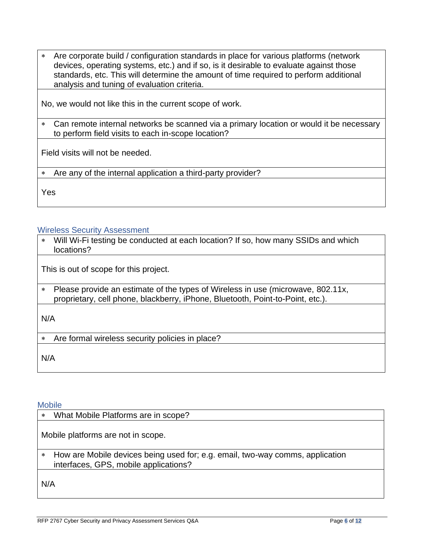Are corporate build / configuration standards in place for various platforms (network devices, operating systems, etc.) and if so, is it desirable to evaluate against those standards, etc. This will determine the amount of time required to perform additional analysis and tuning of evaluation criteria.

No, we would not like this in the current scope of work.

 Can remote internal networks be scanned via a primary location or would it be necessary to perform field visits to each in-scope location?

Field visits will not be needed.

Are any of the internal application a third-party provider?

Yes

#### Wireless Security Assessment

 Will Wi-Fi testing be conducted at each location? If so, how many SSIDs and which locations?

This is out of scope for this project.

 Please provide an estimate of the types of Wireless in use (microwave, 802.11x, proprietary, cell phone, blackberry, iPhone, Bluetooth, Point-to-Point, etc.).

N/A

Are formal wireless security policies in place?

N/A

#### Mobile

What Mobile Platforms are in scope?

Mobile platforms are not in scope.

 How are Mobile devices being used for; e.g. email, two-way comms, application interfaces, GPS, mobile applications?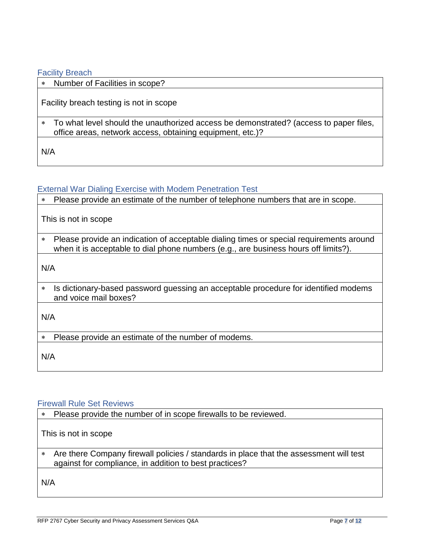#### Facility Breach

Number of Facilities in scope?

Facility breach testing is not in scope

 To what level should the unauthorized access be demonstrated? (access to paper files, office areas, network access, obtaining equipment, etc.)?

N/A

#### External War Dialing Exercise with Modem Penetration Test

Please provide an estimate of the number of telephone numbers that are in scope.

This is not in scope

 Please provide an indication of acceptable dialing times or special requirements around when it is acceptable to dial phone numbers (e.g., are business hours off limits?).

N/A

\* Is dictionary-based password guessing an acceptable procedure for identified modems and voice mail boxes?

N/A

Please provide an estimate of the number of modems.

N/A

#### Firewall Rule Set Reviews

Please provide the number of in scope firewalls to be reviewed.

This is not in scope

 Are there Company firewall policies / standards in place that the assessment will test against for compliance, in addition to best practices?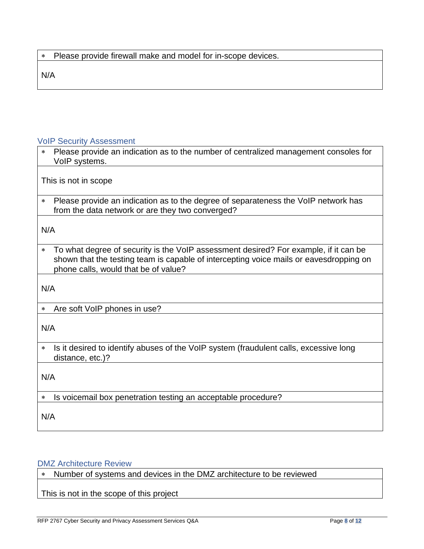N/A

## VoIP Security Assessment

| * Please provide an indication as to the number of centralized management consoles for<br>VoIP systems. |
|---------------------------------------------------------------------------------------------------------|
|                                                                                                         |

This is not in scope

 Please provide an indication as to the degree of separateness the VoIP network has from the data network or are they two converged?

N/A

 To what degree of security is the VoIP assessment desired? For example, if it can be shown that the testing team is capable of intercepting voice mails or eavesdropping on phone calls, would that be of value?

N/A

Are soft VoIP phones in use?

N/A

\* Is it desired to identify abuses of the VoIP system (fraudulent calls, excessive long distance, etc.)?

N/A

\* Is voicemail box penetration testing an acceptable procedure?

N/A

## DMZ Architecture Review

Number of systems and devices in the DMZ architecture to be reviewed

This is not in the scope of this project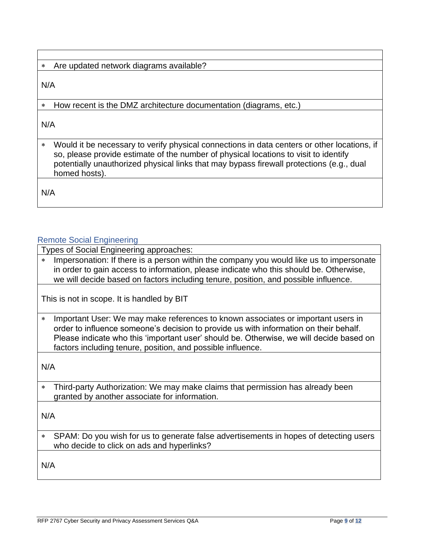## Are updated network diagrams available?

N/A

How recent is the DMZ architecture documentation (diagrams, etc.)

N/A

 Would it be necessary to verify physical connections in data centers or other locations, if so, please provide estimate of the number of physical locations to visit to identify potentially unauthorized physical links that may bypass firewall protections (e.g., dual homed hosts).

N/A

## Remote Social Engineering

Types of Social Engineering approaches:

\* Impersonation: If there is a person within the company you would like us to impersonate in order to gain access to information, please indicate who this should be. Otherwise, we will decide based on factors including tenure, position, and possible influence.

This is not in scope. It is handled by BIT

 Important User: We may make references to known associates or important users in order to influence someone's decision to provide us with information on their behalf. Please indicate who this 'important user' should be. Otherwise, we will decide based on factors including tenure, position, and possible influence.

N/A

 Third-party Authorization: We may make claims that permission has already been granted by another associate for information.

N/A

 SPAM: Do you wish for us to generate false advertisements in hopes of detecting users who decide to click on ads and hyperlinks?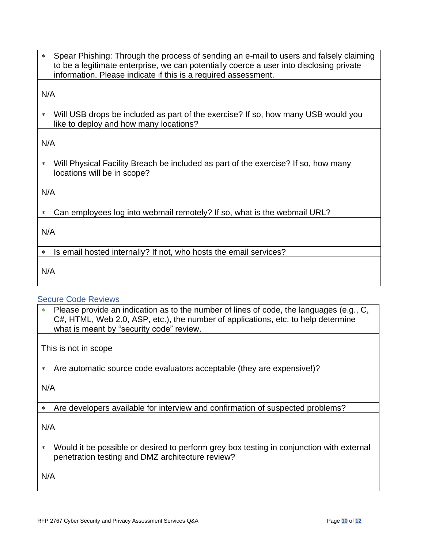Spear Phishing: Through the process of sending an e-mail to users and falsely claiming to be a legitimate enterprise, we can potentially coerce a user into disclosing private information. Please indicate if this is a required assessment.

N/A

 Will USB drops be included as part of the exercise? If so, how many USB would you like to deploy and how many locations?

N/A

 Will Physical Facility Breach be included as part of the exercise? If so, how many locations will be in scope?

N/A

Can employees log into webmail remotely? If so, what is the webmail URL?

N/A

\* Is email hosted internally? If not, who hosts the email services?

N/A

#### Secure Code Reviews

 Please provide an indication as to the number of lines of code, the languages (e.g., C, C#, HTML, Web 2.0, ASP, etc.), the number of applications, etc. to help determine what is meant by "security code" review.

This is not in scope

Are automatic source code evaluators acceptable (they are expensive!)?

N/A

Are developers available for interview and confirmation of suspected problems?

N/A

 Would it be possible or desired to perform grey box testing in conjunction with external penetration testing and DMZ architecture review?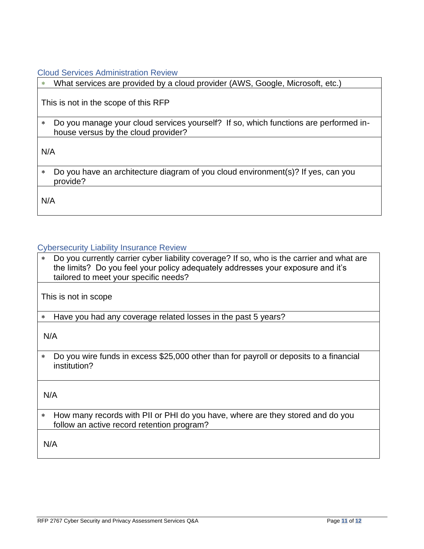Cloud Services Administration Review

What services are provided by a cloud provider (AWS, Google, Microsoft, etc.)

This is not in the scope of this RFP

 Do you manage your cloud services yourself? If so, which functions are performed inhouse versus by the cloud provider?

N/A

 Do you have an architecture diagram of you cloud environment(s)? If yes, can you provide?

N/A

#### Cybersecurity Liability Insurance Review

\* Do you currently carrier cyber liability coverage? If so, who is the carrier and what are the limits? Do you feel your policy adequately addresses your exposure and it's tailored to meet your specific needs?

This is not in scope

Have you had any coverage related losses in the past 5 years?

N/A

 Do you wire funds in excess \$25,000 other than for payroll or deposits to a financial institution?

N/A

 How many records with PII or PHI do you have, where are they stored and do you follow an active record retention program?